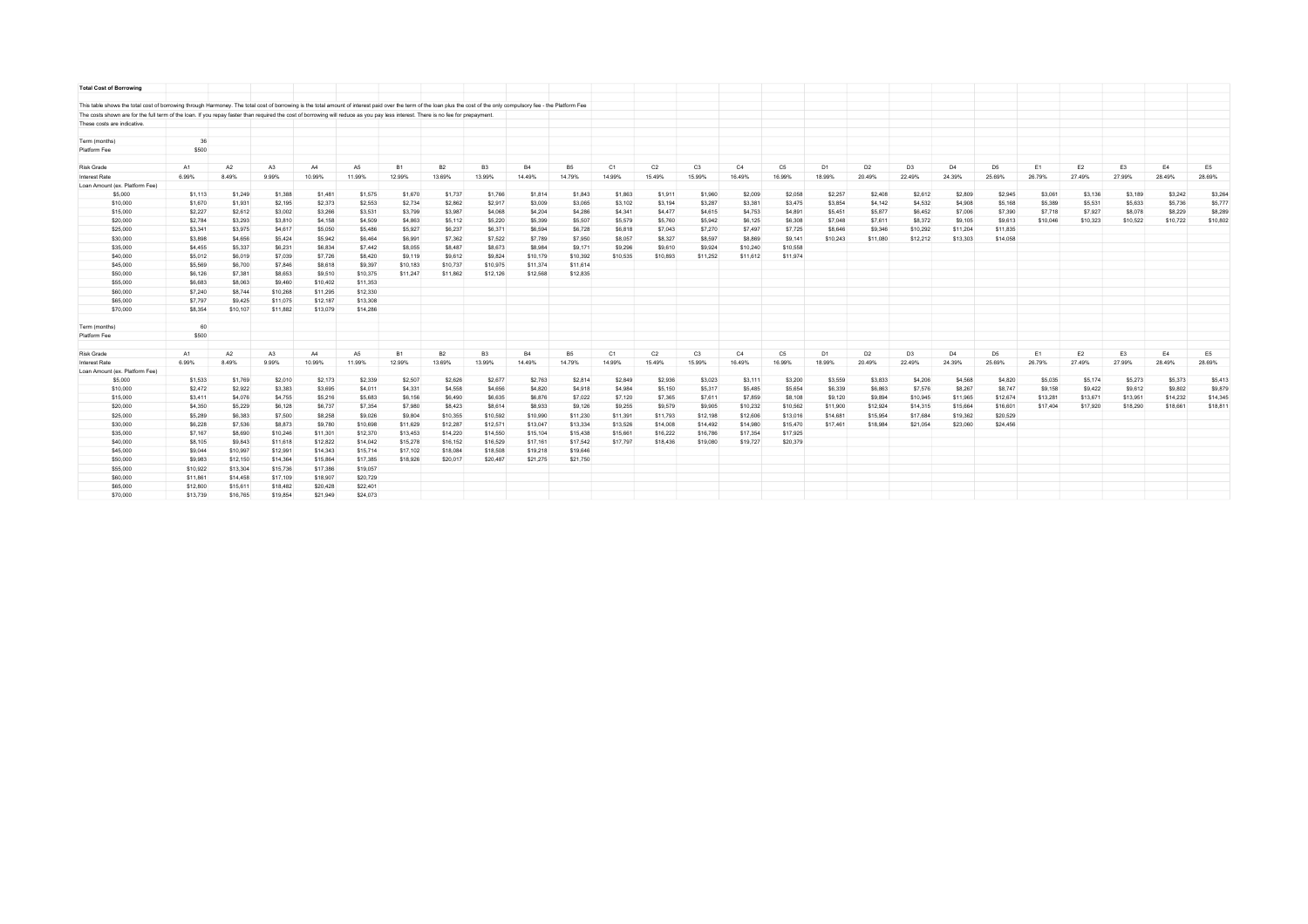| <b>Total Cost of Borrowing</b>                                                                                                                                                                                        |                    |          |          |          |                |           |           |                |           |           |          |                |                |                |                |                |                |                |                |                |                |                |                |          |                |
|-----------------------------------------------------------------------------------------------------------------------------------------------------------------------------------------------------------------------|--------------------|----------|----------|----------|----------------|-----------|-----------|----------------|-----------|-----------|----------|----------------|----------------|----------------|----------------|----------------|----------------|----------------|----------------|----------------|----------------|----------------|----------------|----------|----------------|
| This table shows the total cost of borrowing through Harmoney. The total cost of borrowing is the total amount of interest paid over the term of the loan plus the cost of the only compulsory fee - the Platform Fee |                    |          |          |          |                |           |           |                |           |           |          |                |                |                |                |                |                |                |                |                |                |                |                |          |                |
| The costs shown are for the full term of the loan. If you repay faster than required the cost of borrowing will reduce as you pay less interest. There is no fee for prepayment.                                      |                    |          |          |          |                |           |           |                |           |           |          |                |                |                |                |                |                |                |                |                |                |                |                |          |                |
| These costs are indicative.                                                                                                                                                                                           |                    |          |          |          |                |           |           |                |           |           |          |                |                |                |                |                |                |                |                |                |                |                |                |          |                |
|                                                                                                                                                                                                                       |                    |          |          |          |                |           |           |                |           |           |          |                |                |                |                |                |                |                |                |                |                |                |                |          |                |
| Term (months)                                                                                                                                                                                                         | 36                 |          |          |          |                |           |           |                |           |           |          |                |                |                |                |                |                |                |                |                |                |                |                |          |                |
| Platform Fee                                                                                                                                                                                                          | \$500              |          |          |          |                |           |           |                |           |           |          |                |                |                |                |                |                |                |                |                |                |                |                |          |                |
|                                                                                                                                                                                                                       |                    |          |          |          |                |           |           |                |           |           |          |                |                |                |                |                |                |                |                |                |                |                |                |          |                |
| <b>Risk Grade</b>                                                                                                                                                                                                     | A1                 | A2       | A3       | A4       | A5             | <b>B1</b> | <b>B2</b> | B <sub>3</sub> | <b>B4</b> | <b>B5</b> | C1       | C <sub>2</sub> | C <sub>3</sub> | C4             | C <sub>5</sub> | D <sub>1</sub> | D <sub>2</sub> | D <sub>3</sub> | D <sub>4</sub> | D <sub>5</sub> | E <sub>1</sub> | E <sub>2</sub> | E <sub>3</sub> | E4       | E <sub>5</sub> |
| Interest Rate                                                                                                                                                                                                         | 6.99%              | 8.49%    | 9.99%    | 10.99%   | 11.99%         | 12.99%    | 13.69%    | 13.99%         | 14.49%    | 14.79%    | 14.99%   | 15.49%         | 15.99%         | 16.49%         | 16.99%         | 18.99%         | 20.49%         | 22.49%         | 24.39%         | 25.69%         | 26.79%         | 27.49%         | 27.99%         | 28.49%   | 28.69%         |
| Loan Amount (ex. Platform Fee)                                                                                                                                                                                        |                    |          |          |          |                |           |           |                |           |           |          |                |                |                |                |                |                |                |                |                |                |                |                |          |                |
| \$5,000                                                                                                                                                                                                               | S <sub>1.113</sub> | \$1,249  | \$1,388  | \$1,481  | \$1,575        | \$1,670   | \$1,737   | \$1,766        | \$1,814   | \$1,843   | \$1,863  | \$1,911        | \$1,960        | \$2,009        | \$2,058        | \$2,257        | \$2,408        | \$2,612        | \$2,809        | \$2,945        | \$3,061        | \$3,136        | S3.189         | S3.242   | \$3,264        |
| \$10,000                                                                                                                                                                                                              | \$1,670            | \$1,931  | \$2,195  | \$2,373  | \$2,553        | \$2,734   | \$2,862   | \$2,917        | \$3,009   | \$3,065   | \$3,102  | \$3,194        | \$3,287        | \$3,381        | \$3,475        | \$3,854        | \$4,142        | \$4,532        | \$4,908        | \$5,168        | \$5,389        | \$5,531        | \$5,633        | \$5,736  | \$5,777        |
| \$15,000                                                                                                                                                                                                              | \$2,227            | \$2,612  | \$3,002  | \$3,266  | \$3,531        | \$3,799   | \$3,987   | \$4,068        | \$4,204   | \$4,286   | \$4,341  | \$4,477        | \$4,615        | \$4,753        | \$4,891        | \$5,451        | \$5,877        | \$6,452        | \$7,006        | \$7,390        | \$7,718        | \$7,927        | \$8,078        | \$8,229  | \$8,289        |
| \$20,000                                                                                                                                                                                                              | \$2.784            | \$3,293  | \$3,810  | \$4,158  | \$4,509        | \$4,863   | \$5.112   | \$5.220        | \$5,399   | \$5,507   | \$5,579  | \$5,760        | \$5,942        | S6.125         | \$6,308        | \$7,048        | \$7,611        | \$8,372        | \$9,105        | \$9,613        | \$10,046       | \$10.323       | \$10.522       | \$10,722 | \$10,802       |
| \$25,000                                                                                                                                                                                                              | \$3.341            | \$3,975  | \$4.617  | \$5,050  | \$5,486        | \$5,927   | \$6,237   | \$6,371        | \$6,594   | \$6,728   | \$6,818  | \$7,043        | \$7,270        | \$7,497        | \$7,725        | \$8,646        | \$9,346        | \$10,292       | \$11,204       | \$11,835       |                |                |                |          |                |
| \$30,000                                                                                                                                                                                                              | \$3,898            | \$4,656  | \$5,424  | \$5,942  | \$6,464        | \$6,991   | \$7,362   | \$7,522        | \$7,789   | \$7,950   | \$8,057  | \$8,327        | \$8,597        | \$8,869        | \$9,141        | \$10,243       | \$11,080       | \$12,212       | \$13,303       | \$14,058       |                |                |                |          |                |
|                                                                                                                                                                                                                       |                    |          |          |          |                |           |           |                |           |           |          |                |                |                |                |                |                |                |                |                |                |                |                |          |                |
| \$35,000                                                                                                                                                                                                              | \$4,455            | \$5,337  | \$6,231  | \$6,834  | \$7,442        | \$8,055   | \$8,487   | \$8,673        | \$8,984   | \$9,171   | \$9,296  | \$9,610        | \$9,924        | \$10,240       | \$10,558       |                |                |                |                |                |                |                |                |          |                |
| \$40,000                                                                                                                                                                                                              | \$5,012            | \$6,019  | \$7,039  | \$7,726  | \$8,420        | \$9,119   | \$9,612   | \$9,824        | \$10,179  | \$10,392  | \$10,535 | \$10,893       | \$11,252       | \$11,612       | \$11,974       |                |                |                |                |                |                |                |                |          |                |
| \$45,000                                                                                                                                                                                                              | \$5,569            | \$6,700  | \$7,846  | \$8,618  | \$9,397        | \$10,183  | \$10,737  | \$10,975       | \$11,374  | \$11,614  |          |                |                |                |                |                |                |                |                |                |                |                |                |          |                |
| \$50,000                                                                                                                                                                                                              | <b>\$6,126</b>     | \$7,381  | \$8,653  | \$9,510  | \$10,375       | \$11,247  | \$11,862  | \$12,126       | \$12,568  | \$12,835  |          |                |                |                |                |                |                |                |                |                |                |                |                |          |                |
| \$55,000                                                                                                                                                                                                              | \$6,683            | \$8,063  | \$9,460  | \$10,402 | \$11,353       |           |           |                |           |           |          |                |                |                |                |                |                |                |                |                |                |                |                |          |                |
| \$60,000                                                                                                                                                                                                              | S7.240             | \$8,744  | \$10,268 | \$11,295 | \$12,330       |           |           |                |           |           |          |                |                |                |                |                |                |                |                |                |                |                |                |          |                |
| \$65,000                                                                                                                                                                                                              | \$7,797            | \$9,425  | \$11,075 | \$12,187 | \$13,308       |           |           |                |           |           |          |                |                |                |                |                |                |                |                |                |                |                |                |          |                |
| \$70,000                                                                                                                                                                                                              | S8.354             | \$10,107 | \$11,882 | \$13,079 | \$14,286       |           |           |                |           |           |          |                |                |                |                |                |                |                |                |                |                |                |                |          |                |
| Term (months)                                                                                                                                                                                                         | 60                 |          |          |          |                |           |           |                |           |           |          |                |                |                |                |                |                |                |                |                |                |                |                |          |                |
| Platform Fee                                                                                                                                                                                                          | \$500              |          |          |          |                |           |           |                |           |           |          |                |                |                |                |                |                |                |                |                |                |                |                |          |                |
|                                                                                                                                                                                                                       |                    |          |          |          |                |           |           |                |           |           |          |                |                |                |                |                |                |                |                |                |                |                |                |          |                |
| <b>Risk Grade</b>                                                                                                                                                                                                     | A1                 | A2       | A3       | A4       | A <sub>5</sub> | <b>B1</b> | <b>B2</b> | <b>B3</b>      | <b>B4</b> | <b>B5</b> | C1       | C <sub>2</sub> | C3             | C <sub>4</sub> | C <sub>5</sub> | D <sub>1</sub> | D <sub>2</sub> | D <sub>3</sub> | D <sub>4</sub> | D <sub>5</sub> | E1             | E <sub>2</sub> | E <sub>3</sub> | E4       | E <sub>5</sub> |
| Interest Rate                                                                                                                                                                                                         | 6.99%              | 8.49%    | 9.99%    | 10.99%   | 11.99%         | 12.99%    | 13.69%    | 13.99%         | 14.49%    | 14.79%    | 14.99%   | 15.49%         | 15.99%         | 16.49%         | 16.99%         | 18.99%         | 20.49%         | 22.49%         | 24.39%         | 25.69%         | 26.79%         | 27.49%         | 27.99%         | 28.49%   | 28.69%         |
| Loan Amount (ex. Platform Fee)                                                                                                                                                                                        |                    |          |          |          |                |           |           |                |           |           |          |                |                |                |                |                |                |                |                |                |                |                |                |          |                |
| \$5,000                                                                                                                                                                                                               | \$1,533            | \$1,769  | \$2,010  | \$2,173  | \$2,339        | \$2,507   | \$2,626   | \$2,677        | \$2,763   | \$2,814   | \$2,849  | \$2,936        | \$3,023        | \$3,111        | \$3,200        | \$3,559        | \$3,833        | \$4,206        | \$4,568        | \$4,820        | \$5,035        | \$5,174        | \$5,273        | \$5,373  | \$5,413        |
| \$10,000                                                                                                                                                                                                              | \$2,472            | \$2,922  | \$3,383  | \$3,695  | \$4,011        | \$4,331   | \$4,558   | \$4,656        | \$4,820   | \$4,918   | \$4,984  | \$5,150        | \$5,317        | \$5,485        | \$5,654        | \$6,339        | \$6,863        | \$7,576        | \$8,267        | \$8,747        | \$9,158        | \$9,422        | \$9,612        | \$9,802  | \$9,879        |
| \$15,000                                                                                                                                                                                                              | \$3,411            | \$4,076  | \$4,755  | \$5,216  | \$5,683        | \$6,156   | \$6,490   | \$6,635        | \$6,876   | \$7,022   | \$7,120  | \$7,365        | \$7,611        | \$7,859        | \$8,108        | \$9,120        | \$9,894        | \$10,945       | \$11,965       | \$12,674       | \$13,281       | \$13,671       | \$13,951       | \$14,232 | \$14,345       |
| \$20,000                                                                                                                                                                                                              | \$4,350            | \$5,229  | \$6,128  | \$6,737  | \$7,354        | \$7,980   | \$8,423   | \$8,614        | \$8,933   | \$9,126   | \$9,255  | \$9,579        | \$9,905        | \$10,232       | \$10,562       | \$11,900       | \$12,924       | \$14,315       | \$15,664       | \$16,601       | \$17,404       | \$17,920       | \$18,290       | \$18,661 | \$18,811       |
| \$25,000                                                                                                                                                                                                              | \$5,289            | \$6,383  | \$7,500  | \$8,258  | \$9,026        | \$9,804   | \$10,355  | \$10,592       | \$10,990  | \$11,230  | \$11,391 | \$11,793       | \$12,198       | \$12,606       | \$13,016       | \$14,681       | \$15,954       | \$17,684       | \$19,362       | \$20,529       |                |                |                |          |                |
| \$30,000                                                                                                                                                                                                              | \$6,228            | \$7,536  | S8.873   | \$9,780  | \$10,698       | \$11,629  | \$12,287  | \$12,571       | \$13,047  | \$13,334  | \$13,526 | \$14,008       | \$14,492       | \$14,980       | \$15,470       | \$17,461       | \$18,984       | \$21,054       | \$23,060       | \$24,456       |                |                |                |          |                |
| \$35,000                                                                                                                                                                                                              | \$7.167            | \$8,690  | \$10,246 | \$11,301 | \$12,370       | \$13,453  | \$14,220  | \$14,550       | \$15,104  | \$15,438  | \$15,661 | \$16,222       | \$16,786       | \$17,354       | \$17,925       |                |                |                |                |                |                |                |                |          |                |
| \$40,000                                                                                                                                                                                                              | \$8.105            | \$9,843  | \$11,618 | \$12,822 | \$14,042       | \$15,278  | \$16,152  | \$16,529       | \$17.161  | \$17,542  | \$17,797 | \$18,436       | \$19,080       | \$19,727       | \$20,379       |                |                |                |                |                |                |                |                |          |                |
| \$45,000                                                                                                                                                                                                              | S9.044             | \$10,997 | \$12,991 | \$14,343 | \$15,714       | \$17,102  | \$18,084  | \$18,508       | \$19,218  | \$19,646  |          |                |                |                |                |                |                |                |                |                |                |                |                |          |                |
| \$50,000                                                                                                                                                                                                              | \$9,983            | \$12,150 | \$14,364 | \$15,864 | \$17,385       | \$18,926  | \$20,017  | \$20,487       | \$21,275  | \$21,750  |          |                |                |                |                |                |                |                |                |                |                |                |                |          |                |
| \$55,000                                                                                                                                                                                                              | \$10,922           | \$13,304 | \$15,736 | \$17,386 | \$19,057       |           |           |                |           |           |          |                |                |                |                |                |                |                |                |                |                |                |                |          |                |
| \$60,000                                                                                                                                                                                                              | \$11.861           | \$14,458 | \$17,109 | \$18,907 | \$20,729       |           |           |                |           |           |          |                |                |                |                |                |                |                |                |                |                |                |                |          |                |
| \$65,000                                                                                                                                                                                                              | \$12,800           | \$15,611 | \$18,482 | \$20,428 | \$22,401       |           |           |                |           |           |          |                |                |                |                |                |                |                |                |                |                |                |                |          |                |
| \$70,000                                                                                                                                                                                                              | \$13,739           | \$16,765 | \$19,854 | \$21.949 | \$24.073       |           |           |                |           |           |          |                |                |                |                |                |                |                |                |                |                |                |                |          |                |